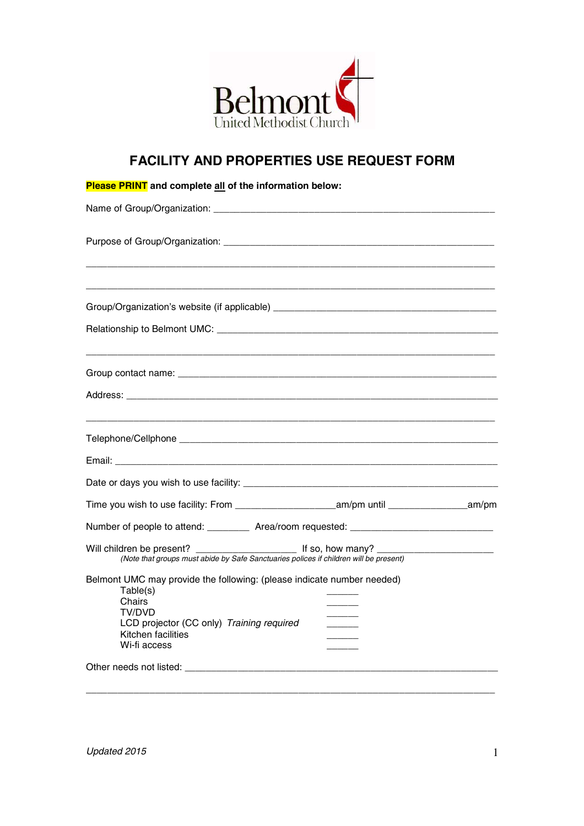

## **FACILITY AND PROPERTIES USE REQUEST FORM**

| <b>Please PRINT</b> and complete all of the information below:                                                                                                                            |  |  |
|-------------------------------------------------------------------------------------------------------------------------------------------------------------------------------------------|--|--|
|                                                                                                                                                                                           |  |  |
|                                                                                                                                                                                           |  |  |
|                                                                                                                                                                                           |  |  |
| Group/Organization's website (if applicable) ___________________________________                                                                                                          |  |  |
|                                                                                                                                                                                           |  |  |
|                                                                                                                                                                                           |  |  |
|                                                                                                                                                                                           |  |  |
|                                                                                                                                                                                           |  |  |
| Email: 2008. 2008. 2009. 2009. 2010. 2010. 2010. 2010. 2010. 2010. 2010. 2010. 2010. 2010. 2010. 2010. 2010. 20                                                                           |  |  |
|                                                                                                                                                                                           |  |  |
|                                                                                                                                                                                           |  |  |
| Number of people to attend: Area/room requested: _______________________________                                                                                                          |  |  |
| Will children be present?<br>(Note that groups must abide by Safe Sanctuaries polices if children will be present)                                                                        |  |  |
| Belmont UMC may provide the following: (please indicate number needed)<br>Table(s)<br>Chairs<br>TV/DVD<br>LCD projector (CC only) Training required<br>Kitchen facilities<br>Wi-fi access |  |  |
|                                                                                                                                                                                           |  |  |